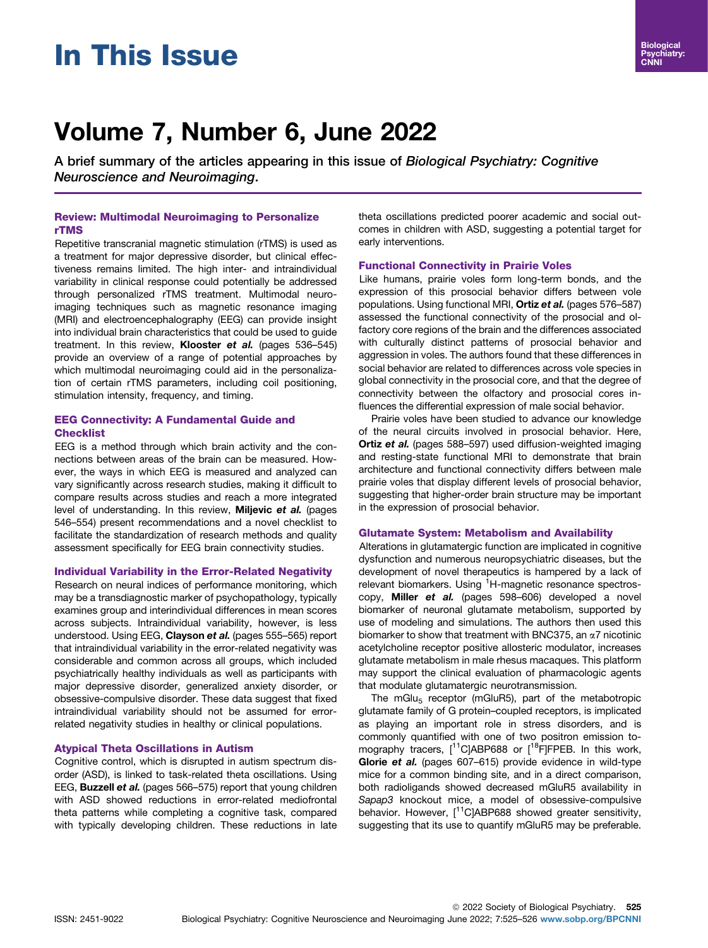# In This Issue

# Volume 7, Number 6, June 2022

A brief summary of the articles appearing in this issue of Biological Psychiatry: Cognitive Neuroscience and Neuroimaging.

### Review: Multimodal Neuroimaging to Personalize rTMS

Repetitive transcranial magnetic stimulation (rTMS) is used as a treatment for major depressive disorder, but clinical effectiveness remains limited. The high inter- and intraindividual variability in clinical response could potentially be addressed through personalized rTMS treatment. Multimodal neuroimaging techniques such as magnetic resonance imaging (MRI) and electroencephalography (EEG) can provide insight into individual brain characteristics that could be used to guide treatment. In this review, Klooster et al. (pages 536-545) provide an overview of a range of potential approaches by which multimodal neuroimaging could aid in the personalization of certain rTMS parameters, including coil positioning, stimulation intensity, frequency, and timing.

# EEG Connectivity: A Fundamental Guide and **Checklist**

EEG is a method through which brain activity and the connections between areas of the brain can be measured. However, the ways in which EEG is measured and analyzed can vary significantly across research studies, making it difficult to compare results across studies and reach a more integrated level of understanding. In this review, Miljevic et al. (pages 546–554) present recommendations and a novel checklist to facilitate the standardization of research methods and quality assessment specifically for EEG brain connectivity studies.

#### Individual Variability in the Error-Related Negativity

Research on neural indices of performance monitoring, which may be a transdiagnostic marker of psychopathology, typically examines group and interindividual differences in mean scores across subjects. Intraindividual variability, however, is less understood. Using EEG, Clayson et al. (pages 555-565) report that intraindividual variability in the error-related negativity was considerable and common across all groups, which included psychiatrically healthy individuals as well as participants with major depressive disorder, generalized anxiety disorder, or obsessive-compulsive disorder. These data suggest that fixed intraindividual variability should not be assumed for errorrelated negativity studies in healthy or clinical populations.

# Atypical Theta Oscillations in Autism

Cognitive control, which is disrupted in autism spectrum disorder (ASD), is linked to task-related theta oscillations. Using EEG, **Buzzell et al.** (pages 566–575) report that young children with ASD showed reductions in error-related mediofrontal theta patterns while completing a cognitive task, compared with typically developing children. These reductions in late

theta oscillations predicted poorer academic and social outcomes in children with ASD, suggesting a potential target for early interventions.

#### Functional Connectivity in Prairie Voles

Like humans, prairie voles form long-term bonds, and the expression of this prosocial behavior differs between vole populations. Using functional MRI, Ortiz et al. (pages 576–587) assessed the functional connectivity of the prosocial and olfactory core regions of the brain and the differences associated with culturally distinct patterns of prosocial behavior and aggression in voles. The authors found that these differences in social behavior are related to differences across vole species in global connectivity in the prosocial core, and that the degree of connectivity between the olfactory and prosocial cores influences the differential expression of male social behavior.

Prairie voles have been studied to advance our knowledge of the neural circuits involved in prosocial behavior. Here, Ortiz et al. (pages 588-597) used diffusion-weighted imaging and resting-state functional MRI to demonstrate that brain architecture and functional connectivity differs between male prairie voles that display different levels of prosocial behavior, suggesting that higher-order brain structure may be important in the expression of prosocial behavior.

# Glutamate System: Metabolism and Availability

Alterations in glutamatergic function are implicated in cognitive dysfunction and numerous neuropsychiatric diseases, but the development of novel therapeutics is hampered by a lack of relevant biomarkers. Using <sup>1</sup>H-magnetic resonance spectroscopy, Miller et al. (pages 598–606) developed a novel biomarker of neuronal glutamate metabolism, supported by use of modeling and simulations. The authors then used this biomarker to show that treatment with BNC375, an  $\alpha$ 7 nicotinic acetylcholine receptor positive allosteric modulator, increases glutamate metabolism in male rhesus macaques. This platform may support the clinical evaluation of pharmacologic agents that modulate glutamatergic neurotransmission.

The mGlu<sub>5</sub> receptor (mGluR5), part of the metabotropic glutamate family of G protein–coupled receptors, is implicated as playing an important role in stress disorders, and is commonly quantified with one of two positron emission tomography tracers,  $[11C]$ ABP688 or  $[18F]$ FPEB. In this work, Glorie et al. (pages 607-615) provide evidence in wild-type mice for a common binding site, and in a direct comparison, both radioligands showed decreased mGluR5 availability in Sapap3 knockout mice, a model of obsessive-compulsive behavior. However, [<sup>11</sup>C]ABP688 showed greater sensitivity, suggesting that its use to quantify mGluR5 may be preferable.